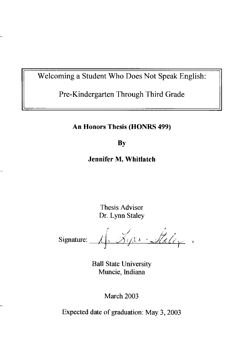Welcoming a Student Who Does Not Speak English:

Pre-Kindergarten Through Third Grade

**An Honors Thesis (HONRS 499)** 

**By** 

**Jennifer M. Whitlatch** 

Thesis Advisor Dr. Lynn Staley

 $\mathcal{P} = \frac{1}{2}$  $S$ ignature:  $\sqrt{A}$   $\sqrt{y}$   $\sqrt{x}$   $\sqrt{x}$   $\sqrt{x}$ 

Ball State University Muncie, Indiana

March 2003

Expected date of graduation: May 3, 2003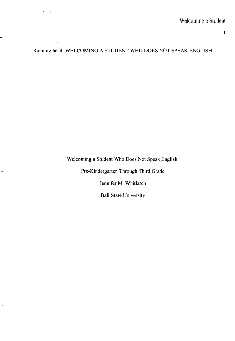$\mathbf{l}$ 

Running head: WELCOMING A STUDENT WHO DOES NOT SPEAK ENGLISH

 $\mathbf{S}_{\mathbf{q}^{\text{max}}}$ 

ă,

 $\overline{1}$ 

Welcoming a Student Who Does Not Speak English:

Pre-Kindergarten Through Third Grade

Jennifer M, Whitlatch

Ball State University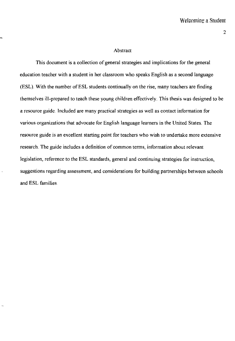#### Abstract

This document is a collection of general strategies and implications for the general education teacher with a student in her classroom who speaks English as a second language (ESL). With the number of ESL students continually on the rise, many teachers are finding themselves ill-prepared to teach these young children effectively. This thesis was designed to be a resource guide. Included are many practical strategies as well as contact information for various organizations that advocate for English language learners in the United States. The resource guide is an excellent starting point for teachers who wish to undertake more extensive research. The guide includes a definition of common terms, information about relevant legislation, reference to the ESL standards, general and continuing strategies for instruction, suggestions regarding assessment, and considerations for building partnerships between schools and ESL families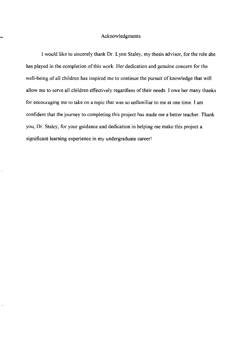#### Acknowledgments

I would like to sincerely thank Dr. Lynn Staley, my thesis advisor, for the role she has played in the completion of this work Her dedication and genuine concern for the well-being of all children has inspired me to continue the pursuit of knowledge that will allow me to serve all children effectively regardless of their needs. I owe her many thanks for encouraging me to take on a topic that was so unfamiliar to me at one time. I am confident that the journey to completing this project has made me a better teacher. Thank you, Dr. Staley, for your guidance and dedication in helping me make this project a significant learning experience in my undergraduate career!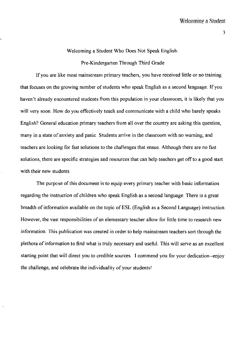## Welcoming a Student Who Does Not Speak English:

#### Pre-Kindergarten Through Third Grade

If you are like most mainstream primary teachers, you have received little or no training that focuses on the growing number of students who speak English as a second language. **If** you haven't already encountered students from this population in your classroom, it is likely that you will very soon. How do you effectively teach and communicate with a child who barely speaks English? General education primary teachers from all over the country are asking this question, many in a state of anxiety and panic. Students arrive in the classroom with no warning, and teachers are looking for fast solutions to the challenges that ensue. Although there are no fast solutions, there are specific strategies and resources that can help teachers get off to a good start with their new students.

The purpose of this document is to equip every primary teacher with basic information regarding the instruction of children who speak English as a second language. There is a great breadth of information available on the topic of ESL (English as a Second Language) instruction. However, the vast responsibilities of an elementary teacher allow for little time to research new information. This publication was created in order to help mainstream teachers sort through the plethora of information to find what is truly necessary and useful. This will serve as an excellent starting point that will direct you to credible sources. I commend you for your dedication--enjoy the challenge, and celebrate the individuality of your students!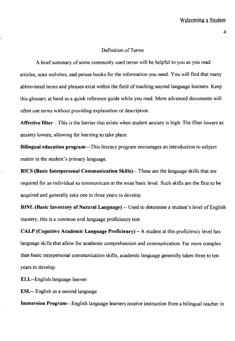#### Definition of Terms

A brief summary of some commonly used tenns will be helpful to you as you read articles, scan websites, and peruse books for the information you need. You will find that many abbreviated terms and phrases exist within the field of teaching second language learners. Keep this glossary at hand as a quick reference guide while you read. More advanced documents will often use tenns without providing explanation or description.

Affective filter-This is the barrier that exists when student anxiety is high. The filter lowers as anxiety lowers, allowing for learning to take place.

Bilingual education program-This literacy program encourages an introduction to subject matter in the student's primary language.

BICS (Basic Interpersonal Communication Skills)—These are the language skills that are required for an individual to communicate at the most basic level. Such skills are the first to be acquired and generally take one to three years to develop.

BINL (Basic Inventory of Natural Language) -- Used to determine a student's level of English mastery, this is a common oral language proficiency test.

CALP (Cognitive Academic Language Proficiency)  $- A$  student at this proficiency level has language skills that allow for academic comprehension and communication. Far more complex than basic interpersonal communication skills, academic language generally takes three to ten years to develop.

ELL--English language learner

ESL-- English as a second language

Immersion Program-- English language learners receive instruction from a bilingual teacher in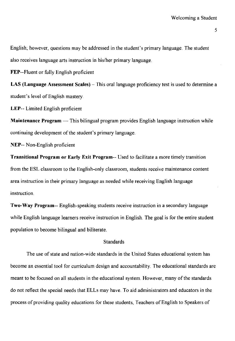English; however, questions may be addressed in the student's primary language. The student also receives language arts instruction in his/her primary language.

FEP--Fluent or fully English proficient

LAS (Language Assessment Scales) – This oral language proficiency test is used to determine a student's level of English mastery.

**LEP--** Limited English proficient

**Maintenance Program** — This bilingual program provides English language instruction while continuing development of the student's primary language.

**NEP--** Non-English proficient

**Transitional Program or Early Exit Program--** Used to facilitate a more timely transition from the ESL classroom to the English-only classroom, students receive maintenance content area instruction in their primary language as needed while receiving English language instruction.

**Two-Way Program--** English-speaking students receive instruction in a secondary language while English language learners receive instruction in English. The goal is for the entire student population to become bilingual and biliterate.

## **Standards**

The use of state and nation-wide standards in the United States educational system has become an essential tool for curriculum design and accountability. The educational standards are meant to be focused on all students in the educational system. However, many of the standards do not reflect the special needs that ELLs may have. To aid administrators and educators in the process of providing quality educations for these students, Teachers of English to Speakers of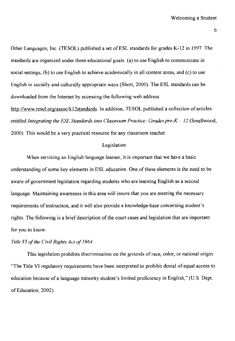Other Languages, Inc. (TESOL) published a set of ESL standards for grades K-12 in 1997. The standards are organized under three educational goals: (a) to use English to communicate in social settings, (b) to use English to achieve academically in all content areas, and (c) to use English in socially and culturally appropriate ways (Short, 2000). The ESL standards can be downloaded from the Internet by accessing the following web address:

http://www.tesol.org/assoc/k12standards. In addition, TESOL published a collection of articles entitled *Integrating the ESL Standards into Classroom Practice: Grades pre-K - 12 (Smallwood,* 2000). This would be a very practical resource for any classroom teacher.

#### Legislation

When servicing an English language leamer, it is important that we have a basic understanding of some key elements in ESL education. One of these elements is the need to be aware of government legislation regarding students who are learning English as a second language. Maintaining awareness in this area will insure that you are meeting the necessary requirements of instruction, and it will also provide a knowledge-base concerning student's rights. The following is a brief description of the court cases and legislation that are important for you to know.

## *Title VI of the Civil Rights Act of 1964*

This legislation prohibits discrimination on the grounds of race, color, or national origin. "The Title VI regulatory requirements have been interpreted to prohibit denial of equal access to education because of a language minority student's limited proficiency in English," (U.S. Dept. of Education, 2002).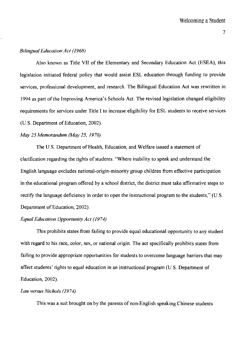## *Bilingual Education Act (1968)*

Also known as Title VII of the Elementary and Secondary Education Act (ESEA), this legislation initiated federal policy that would assist ESL education through funding to provide services, professional development, and research. The Bilingual Education Act was rewritten in 1994 as part of the Improving America's Schools Act. The revised legislation changed eligibility requirements for services under Title I to increase eligibility for ESL students to receive services (US. Department of Education, 2002).

#### *May* 25 *Memorandum (May* 25, */970)*

The U.S. Department of Health, Education, and Welfare issued a statement of clarification regarding the rights of students. "Where inability to speak and understand the English language excludes national-origin-minority group children from effective participation in the educational program offered by a school district, the district must take affirmative steps to rectify the language deficiency in order to open the instructional program to the students," (U.S. Department of Education, 2002).

#### *Equal Education Opportunity Act (/974)*

This prohibits states from failing to provide equal educational opportunity to any student with regard to his race, color, sex, or national origin. The act specifically prohibits states from failing to provide appropriate opportunities for students to overcome language barriers that may affect students' rights to equal education in an instructional program (US. Department of Education, 2002).

## *Lau versus Nichols (1974)*

This was a. suit brought on by the parents of non-English speaking Chinese students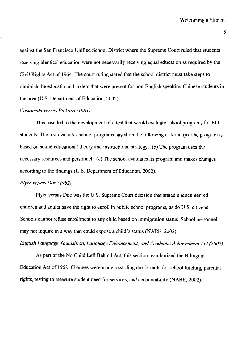against the San Francisco Unified School District where the Supreme Court ruled that students receiving identical education were not necessarily receiving equal education as required by the Civil Rights Act of 1964. The court ruling stated that the school district must take steps to diminish the educational barriers that were present for non-English speaking Chinese students in the area (U.S. Department of Education, 2002)

## *Castaneda versus Pickard (1981)*

This case led to the development of a test that would evaluate school programs for ELL students. The test evaluates school programs based on the following criteria: (a) The program is based on sound educational theory and instructional strategy. (b) The program uses the necessary resources and personnel. (c) The school evaluates its program and makes changes according to the findings (U.S. Department of Education, 2002).

#### *Plyer versus Doe (1982)*

Plyer versus Doe was the U.S. Supreme Court decision that stated undocumented children and adults have the right to enroll in public school programs, as do U. S. citizens. Schools cannot refuse enrollment to any child based on immigration status. School personnel may not inquire in a way that could expose a child's status (NABE, 2002).

*English Language Acquisition, Language Enhancement, and Academic Achievement Act (2002)* 

As part of the No Child Left Behind Act, this section reauthorized the Bilingual Education Act of 1968. Changes were made regarding the formula for school funding, parental rights, testing to measure student need for services, and accountability (NABE, 2002).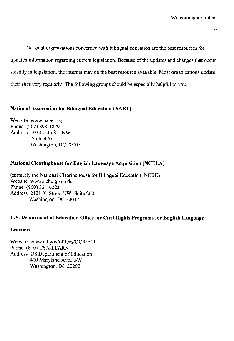National organizations concerned with bilingual education are the best resources for updated information regarding current legislation. Because of the updates and changes that occur steadily in legislation, the internet may be the best resource available. Most organizations update their sites very regularly. The following groups should be especially helpful to you.

## **National Association for Bilingual Education (NABE)**

Website: www.nabe.org Phone: (202) 898-1829 Address: 1030 15th St., NW Suite 470 Washington, DC 20005

# **National Clearinghouse for English Language Acquisition (NCELA)**

(formerly the National Clearinghouse for Bilingual Education; NCBE) Website: www.ncbe.gwu.edu Phone: (800) 321-6223 Address: 2121 K. Street NW, Suite 260 Washington, DC 20037

## **U.S. Department of Education Office for Civil Rights Programs for English Language**

## **Learners**

Website: www.ed.gov/offices/OCR/ELL Phone: (800) USA-LEARN Address: US Department of Education 400 Maryland Ave., SW Washington, DC 20202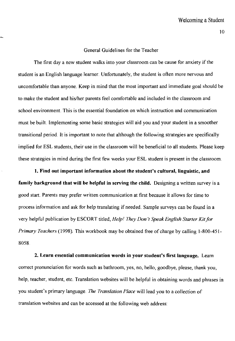## General Guidelines for the Teacher

The first day a new student walks into your classroom can be cause for anxiety if the student is an English language learner. Unfortunately, the student is often more nervous and uncomfortable than anyone. Keep in mind that the most important and immediate goal should be to make the student and his/her parents feel comfortable and included in the classroom and school environment. This is the essential foundation on which instruction and communication must be built. Implementing some basic strategies will aid you and your student in a smoother transitional period. It is important to note that although the following strategies are specifically implied for ESL students, their use in the classroom will be beneficial to all students. Please keep these strategies in mind during the first few weeks your ESL student is present in the classroom.

**1. Find out important information about the student's cultural, linguistic, and family background that will be helpful in serving the child.** Designing a written survey is a good start. Parents may prefer written communication at first because it allows for time to process information and ask for help translating if needed. Sample surveys can be found in a very helpful publication by ESCORT titled, *Help' They Don't Speak English Starter Kitfor Primary Teachers* (1998). This workbook may be obtained free of charge by calling 1-800-451- 8058.

**2. Learn essential communication words in your student's first langnage.** Learn correct pronunciation for words such as bathroom, yes, no, hello, goodbye, please, thank you, help, teacher, student, etc. Translation websites will be helpful in obtaining words and phrases in you student's primary language. *The Translation Place* will lead you to a collection of translation wehsites and can be accessed at the following web address: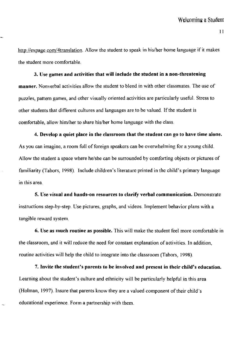II

http://expage.com/4translation. Allow the student to speak in his/her home language if it makes the student more comfortable.

## 3. Use games and activities that will include the student in a non-threatening

manner. Nonverbal activities allow the student to blend in with other classmates. The use of puzzles, pattern games, and other visually oriented activities are particularly useful. Stress to other students that different cultures and languages are to be valued. If the student is comfortable, allow him/her to share his/her home language with the class.

4. Develop a quiet place in the classroom that the student can go to have time alone. As you can imagine, a room full of foreign speakers can be overwhelming for a young child. Allow the student a space where he/she can be surrounded by comforting objects or pictures of familiarity (Tabors, 1998). Include children's literature printed in the child's primary language in this area.

5. Use visual and hands-on resources to clarify verbal communication. Demonstrate instructions step-by-step. Use pictures, graphs, and videos. Implement behavior plans with a tangible reward system.

6. Use as much routine as possible. This will make the student feel more comfortable in the classroom, and it will reduce the need for constant explanation of activities. In addition, routine activities will help the child to integrate into the classroom (Tabors, 1998).

7. Invite the student's parents to be involved and present in their child's education. Learning about the student's culture and ethnicity will be particularly helpful in this area (Holman, 1997). Insure that parents know they are a valued component of their child's educational experience. Form a partnership with them.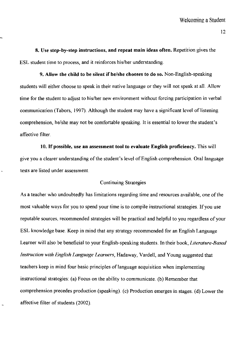8. Use step-by-step instructions, and repeat main ideas often. Repetition gives the ESL student time to process, and it reinforces his/her understanding.

9. Allow the child to be silent if he/she chooses to do so. Non-English-speaking students will either choose to speak in their native language or they will not speak at all. Allow time for the student to adjust to his/her new environment without forcing participation in verbal communication (Tabors, 1997). Although the student may have a significant level of listening comprehension, he/she may not be comfortable speaking. It is essential to lower the student's affective filter.

10. If possible, use an assessment tool to evaluate English proficiency. This will give you a clearer understanding of the student's level of English comprehension. Oral language tests are listed under assessment.

## Continuing Strategies

As a teacher who undoubtedly has limitations regarding time and resources available, one of the most valuable ways for you to spend your time is to compile instructional strategies If you use reputable sources., recommended strategies will be practical and helpful to you regardless of your ESL knowledge base. Keep in mind that any strategy recommended for an English Language Learner will also be beneficial to your English-speaking students. In their book, *Literature-Based Instruction with English Language Learners,* Hadaway, Vardell, and Young suggested that teachers keep in mind four basic principles of language acquisition when implementing instructional strategies: (a) Focus on the ability to communicate. (b) Remember that comprehension precedes production (speaking). (c) Production emerges in stages. (d) Lower the affective filter of students (2002).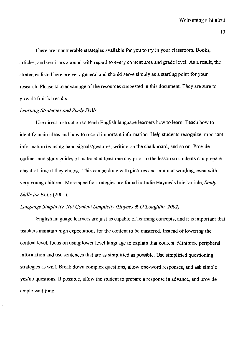There are innumerable strategies available for you to try in your classroom. Books, articles, and seminars abound with regard to every content area and grade level. As a result, the strategies listed here are very general and should serve simply as a starting point for your research. Please take advantage of the resources suggested in this document. They are sure to provide fruitful results.

#### *Learning Strategies and Study Skills*

Use direct instruction to teach English language learners how to learn. Teach how to identify main ideas and how to record important information. Help students recognize important information by using hand signals/gestures, writing on the chalkboard, and so on. Provide outlines and study guides of material at least one day prior to the lesson so students can prepare ahead of time if they choose. This can be done with pictures and minimal wording, even with very young children. More specific strategies are found in Judie Haynes's brief article, *Study Skills for ELLs* (2001).

## *Language Simplicity, Not Content Simplicity (Haynes* & 0 *'Loughlin, 2002)*

English language learners are just as capable of learning concepts, and it is important that teachers maintain high expectations for the content to be mastered. Instead of lowering the content level, focus on using lower level language to explain that content. Minimize peripheral information and use sentences that are as simplified as possible. Use simplified questioning strategies as well. Break down complex questions, allow one-word responses, and ask simple yes/no questions. If possible, allow the student to prepare a response in advance, and provide ample wait time.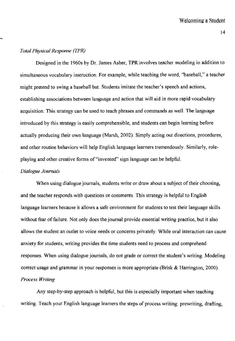## *Total Physical Response (TPR)*

Designed in the 1960s by Dr. James Asher, **TPR** involves teacher modeling in addition to simultaneous vocabulary instruction. For example, while teaching the word, "baseball," a teacher might pretend to swing a baseball bat. Students imitate the teacher's speech and actions, establishing associations between language and action that will aid in more rapid vocabulary acquisition. This strategy can be used to teach phrases and commands as well. The language introduced by this strategy is easily comprehensible, and students can begin learning before actually producing their own language (Marsh, 2002). Simply acting out directions, procedures, and other routine behaviors will help English language learners tremendously. Similarly, roleplaying and other creative forms of "invented" sign language can be helpful.

## *Dialogue Journals*

When using dialogue journals, students write or draw about a subject of their choosing, and the teacher responds with questions or comments. This strategy is helpful to English language learners because it allows a safe environment for students to test their language skills without fear of failure. Not only does the journal provide essential writing practice, but it also allows the student an outlet to voice needs or concerns privately. While oral interaction can cause anxiety for students, writing provides the time students need to process and comprehend responses. When using dialogue journals, do not grade or correct the student's writing. Modeling correct usage and grammar in your responses is more appropriate (Brisk & Harrington, 2000). *Process Writing* 

Any step-by-step approach is helpful, but this is especially important when teaching writing. Teach your English language learners the steps of process writing: prewriting, drafting,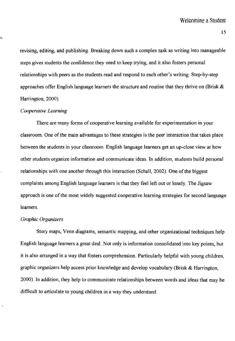revising, editing, and publishing. Breaking down such a complex task as writing into manageable steps gives students the confidence they need to keep trying, and it also fosters personal relationships with peers as the students read and respond to each other's writing. Step-by-step approaches offer English language learners the structure and routine that they thrive on (Brisk  $\&$ Harrington, 2000).

#### *Cooperative Learning*

There are many forms of cooperative learning available for experimentation in your classroom. One of the main advantages to these strategies is the peer interaction that takes place between the students in your classroom. English language learners get an up-close view at how other students organize information and communicate ideas. In addition, students build personal relationships with one another through this interaction (Schall, 2002). One of the biggest complaints among English language learners is that they feel left out or lonely. The Jigsaw approach is one of the most widely suggested cooperative learning strategies for second language learners.

### *Graphic Organizers*

Story maps, Venn diagrams, semantic mapping, and other organizational techniques help English language learners a great deal. Not only is information consolidated into key points, but it is also arranged in a way that fosters comprehension. Particularly helpful with young children, graphic organizers help access prior knowledge and develop vocabulary (Brisk & Harrington, 2000). **In** addition, they help to communicate relationships between words and ideas that may be difficult to articulate to young children in a way they understand.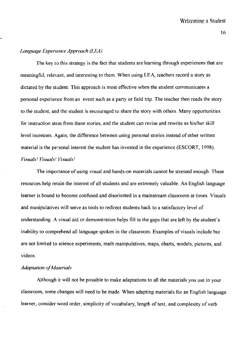## *Language Experience Approach (LEA)*

The key to this strategy is the fact that students are learning through experiences that are meaningful, relevant, and interesting to them. When using LEA, teachers record a story as dictated by the student. This approach is most effective when the student communicates a personal experience from an event such as a party or field trip. The teacher then reads the story to the student, and the student is encouraged to share the story with others. Many opportunities for instruction stem from these stories, and the student can revise and rewrite as his/her skill level increases. Again, the difference between using personal stories instead of other written material is the personal interest the student has invested in the experience (ESCORT, 1998). *Visuals' Vi5uals' Visuals'* 

The importance of using visual and hands-on materials cannot be stressed enough. These resources help retain the interest of all students and are extremely valuable. An English language learner is bound to become confused and disoriented in a mainstream classroom at times. Visuals and manipulatives will serve as tools to redirect students back to a satisfactory level of understanding. A visual aid or demonstration helps fill in the gaps that are left by the student's inability to comprehend all language spoken in the classroom. Examples of visuals include but are not limited to science experiments, math manipulatives, maps, charts, models, pictures, and videos.

#### **Adaptation of Materials**

Although it will not be possible to make adaptations to all the materials you use in your classroom, some changes will need to be made. When adapting materials for an English language learner, consider word order, simplicity of vocabulary, length of text, and complexity of verb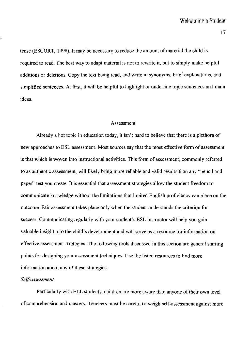tense (ESCORT, 1998). It may be necessary to reduce the amount of material the child is required to read. *The* best way to adapt material is not to rewrite it, but to simply make helpful additions or deletions. Copy the text being read, and write in synonyms, brief explanations, and simplified sentences. At first, it will be helpful to highlight or underline topic sentences and main ideas.

#### Assessment

Already a hot topic in education today, it isn't hard to believe that there is a plethora of new approaches to ESL assessment. Most sources say that the most effective form of assessment is that which is woven into instructional activities. *This* form of assessment, commonly referred to as authentic assessment, will likely bring more reliable and valid results than any "pencil and paper" test you create. It is essential that assessment strategies allow the student freedom to communicate knowledge without the limitations that limited English proficiency can place on the outcome. Fair assessment takes place only when the student understands the criterion for success. Communicating regularly with your student's ESL instructor will help you gain valuable insight into the child's development and will serve as a resource for information on effective assessment strategies. The following tools discussed in this section are general starting points for designing your assessment techniques. Use the listed resources to find more information about any of these strategies.

#### *Self-assessment*

Particularly with ELL students, children are more aware than anyone of their own level of comprehension and mastery. Teachers must be careful to weigh self-assessment against more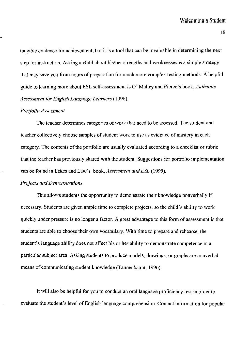tangible evidence for achievement, but it is a tool that can be invaluable in determining the next step for instruction. Asking a child about his/her strengths and weaknesses is a simple strategy that may save you from hours of preparation for much more complex testing methods. A helpful guide to learning more about ESL self-assessment is 0' Malley and Pierce's book, *Authentic*  Assessment for English Language Learners (1996).

#### *Portfolio Assessment*

The teacher determines categories of work that need to be assessed. The student and teacher collectively choose samples of student work to use as evidence of mastery in each category. The contents of the portfolio are usually evaluated according to a checklist or rubric that the teacher has previously shared with the student. Suggestions for portfolio implementation can be found in Eckes and Law's book, *Assessment and ESL (1995).* 

## *Projects and Demonstrations*

This allows students the opportunity to demonstrate their knowledge nonverbally if necessary. Students are given ample time to complete projects, so the child's ability to work quickly under pressure is no longer a factor. A great advantage to this form of assessment is that students are able to choose their own vocabulary. With time to prepare and rehearse, the student's language ability does not affect his or her ability to demonstrate competence in a particular subject area. Asking students to produce models, drawings, or graphs are nonverbal means of communicating student knowledge (Tannenbaum, 1996).

It will also be helpful for you to conduct an oral language proficiency test in order to evaluate the student's level of English language comprehension. Contact information for popular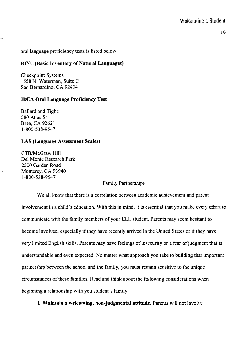oral language proficiency tests is listed below:

# BINL (Basic Inventory of Natural Languages)

Checkpoint Systems 1558 N. Waterman, Suite C San Bernardino, CA 92404

# IDEA Oral Lauguage Proficiency Test

Ballard and Tighe 580 Atlas St. Brea, CA 92621 1-800-538-9547

# LAS (Language Assessment Scales)

CTB/McGraw Hill Del Monte Research Park 2500 Garden Road Monterey, CA 93940 1-800-538-9547

## Family Partnerships

We all know that there is a correlation between academic achievement and parent involvement in a child's education. With this in mind, it is essential that you make every effort to communicate with the family members of your ELL student. Parents may seem hesitant to become involved, especially if they have recently arrived in the United States or if they have very limited English skills. Parents may have feelings of insecurity or a fear of judgment that is understandable and even expected. No matter what approach you take to building that important partnership between the school and the family, you must remain sensitive to the unique circumstances of these families. Read and think about the following considerations when beginning a relationship with you student's family.

I. Maintain a welcoming, non-judgmental attitude. Parents will not involve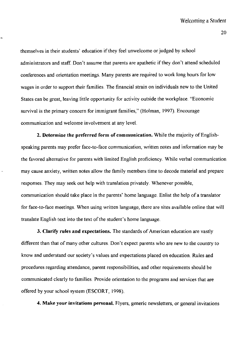themselves in their students' education if they feel unwelcome or judged by school administrators and staff. Don't assume that parents are apathetic if they don't attend scheduled conferences and orientation meetings. Many parents are required to work long hours for low wages in order to support their families. The financial strain on individuals new to the United States can be great, leaving little opportunity for activity outside the workplace. "Economic survival is the primary concern for immigrant families," (Holman, 1997). Encourage communication and welcome involvement at any level.

**2. Determine the preferred form of communication.** While the majority of Englishspeaking parents may prefer face-to-face communication, written notes and information may be the favored alternative for parents with limited English proficiency. While verbal communication may cause anxiety, written notes allow the family members time to decode material and prepare responses. They may seek out help with translation privately. Whenever possible, communication should take place in the parents' home language. Enlist the help of a translator for face-to-face meetings. When using written language, there are sites available online that will translate English text into the text of the student's home language.

**3. Clarify rules and expectations.** The standards of American education are vastly different than that of many other cultures. Don't expect parents who are new to the country to know and understand our society's values and expectations placed on education. Rules and procedures regarding attendance, parent responsibilities, and other requirements should be communicated clearly to families. Provide orientation to the programs and services that are offered by your school system (ESCORT, 1998).

**4. Make your invitations personal.** Flyers, generic newsletters, or general invitations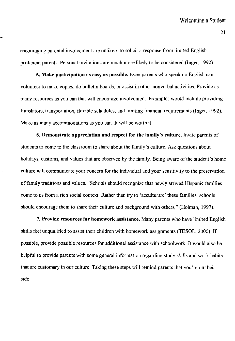encouraging parental involvement are unlikely to solicit a response from limited English proficient parents. Personal invitations are much more likely to be considered (Inger, 1992).

5. Make participation as easy as possible. Even parents who speak no English can volunteer to make copies, do bulletin boards, or assist in other nonverbal activities. Provide as many resources as you can that will encourage involvement. Examples would include providing translators, transportation, flexible schedules, and limiting financial requirements (Inger, 1992). Make as many accommodations as you can. It will be worth it!

6. Demonstrate appreciation and respect for the family's culture. Invite parents of students to come to the classroom to share about the family's culture. Ask questions about holidays, customs, and values that are observed by the family. Being aware of the student's home culture will communicate your concern for the individual and your sensitivity to the preservation of family traditions and values. "Schools should recognize that newly arrived Hispanic families come to us from a rich social context. Rather than try to 'acculturate' these families, schools should encourage them to share their culture and background with others," (Holman, 1997).

7. Provide resources for homework assistance. Many parents who have limited English skills feel unqualified to assist their children with homework assignments (TESOL, 2000). If possible, provide possible resources for additional assistance with schoolwork. It would also be helpful to provide parents with some general information regarding study skills and work habits that are customary in our culture. Taking these steps will remind parents that you're on their side!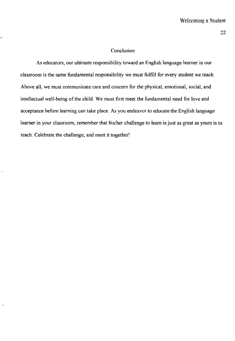## **Conclusion**

As educators, our ultimate responsibility toward an English language learner in our classroom is the same fundamental responsibility we must fulfill for every student we teach. Above all, we must communicate care and concern for the physical, emotional, social, and intellectual well-being of the child. We must first meet the fundamental need for love and acceptance before learning can take place. As you endeavor to educate the English language learner in your classroom, remember that his/her challenge to learn is just as great as yours is to teach. Celebrate the challenge, and meet it together!

÷,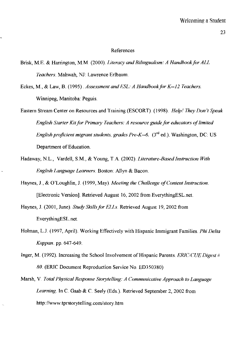#### References

- Brisk, M.E. & Harrington, M.M (2000). *Literacy and Bilingualism: A Handbook for ALL Teachers.* Mahwah, NJ: Lawrence Erlbaum.
- Eckes, M., & Law, B. (1995). *Assessment and ESL: A Handbook for K-12 Teachers.* Winnipeg, Manitoba: Peguis.
- Eastern Stream Center on Resources and Training (ESCORT). (1998). *Helpl 7hey Don't Speak English Slarter Kit for Primary Teachers: A resource guide for educators of limited English proficient migrant students, grades Pre-K--6.*  $(3^{rd}$  ed.). Washington, DC: US Department of Education.
- Hadaway, N.L., Vardell, S.M., & Young, T.A. (2002). *Literature-Based Instruction With English Language Learners.* Boston: Allyn & Bacon.
- Haynes, J., & O'Loughlin, J. (1999, May). *Meeting the Challenge of Content Instruction.*  [Electronic Version]. Retrieved August 16,2002 from EverythingESL.net
- Haynes,1. (2001, June). *Study Skillsfor ELLs.* Retrieved August 19,2002 from EverythingESL.net
- Holman, LJ. (1997, April). Working Effectively with Hispanic Immigrant Families. *Phi Delta Kappan.* pp. 647-649.
- Inger, M. (1992). Increasing the School Involvement of Hispanic Parents. *ERIC/CUE Digest # 80.* (ERIC Document Reproduction Service No. ED350380)
- Marsh, V *Total Physical Response Storytelling: A Communicative Approach to Language*  Learning. In C. Gaab & C. Seely (Eds.). Retrieved September 2, 2002 from http://www.tprstorytelling.com/story.htm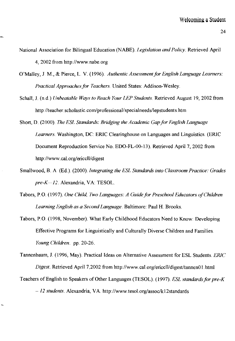- National Association for Bilingual Education (NABE). *Legislation and Policy*. Retrieved April 4,2002 from http://www.nabe.org
- O'Malley, J. M., & Pierce, L. V. (1996). *Authentic Assessment for English Language Learners: Practical Approachesfor Teachers.* United States: Addison-Wesley.
- Schall, J. (n.d.) *Unbeatable Ways to Reach Your LEP Students*. Retrieved August 19, 2002 from http://teacher.scholastic.com/professional/specialneeds/lepstudents.htm
- Short, D. (2000). *The ESL Standards: Bridging the Academic Gap for English Language Learners.* Washington, DC: ERIC Clearinghouse on Languages and Linguistics. (ERIC Document Reproduction Service No. EDO-FL-00-13). Retrieved April 7, 2002 from http://www.cal.org/ericcll/digest
- Smallwood, B. A. (Ed.). (2000). *Integrating the ESL Standards into Classroom Practice: Grades pre-K--12.* Alexandria, VA: TESOL
- Tabors, P.O. (1997). *One Child, Two Languages: A Guide for Preschool Educators of Children Learning Anglish as a Second Language.* Baltimore: Paul H. Brooks.
- Tabors, P.O. (1998, November). What Early Childhood Educators Need to Know: Developing Effective Programs for Linguistically and Culturally Diverse Children and Families. *Young Children.* pp. 20-26.
- Tannenbaum, J. (1996, May). Practical Ideas on Alternative Assessment for ESL Students. ERIC *Digest.* Retrieved April 7,2002 from http://www.cal.org/ericcll/digest/tannen01.html
- Teachers of English to Speakers of Other Languages (TESOL). (\997). *ESL standardsfor pre-K - 12 students.* Alexandria, V A. http://www.tesol.orglassoclkI2standards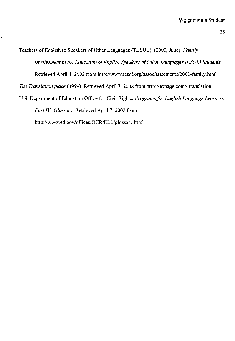Teachers of English to Speakers of Other Languages (TESOL). (2000, June) *Family Involvement in the Education of English Speakers of Other Languages (ESOL) Students.*  Retrieved April 1, 2002 from http://www.tesol.org/assoc/statements/2000-family.html *The Translation place* (1999). Retrieved April 7, 2002 from http://expage.coml4translation U.S. Department of Education Office for Civil Rights. *Programs for English Language Learners* 

*Part IV: Glossary.* Retrieved April 7, 2002 from http://www.ed.gov/offices/OCR/ELL/glossary.html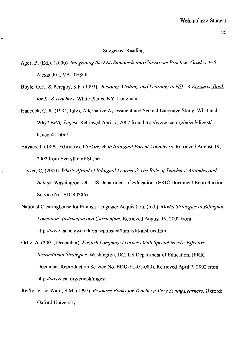#### Suggested Reading

- Agor, B. (Ed.). (2000). *Integrating the ESL Standards into Classroom Practice: Grades* 3--5. Alexandria, VA: TESOL
- Boyle, O.F., & Peregoy, S.F. (1993). *Reading, Writing, and Learning in ESL: A Resource Book for K-8 Teachers.* White Plains, NY: Longman.
- Hancock, C. R. (1994, July). Alternative Assessment and Second Language Study: What and Why? *ERIC Digest.* Retrieved April 7, 2002 from http://www.cal.org/ericcl/digest/ hancoc01 .html
- Haynes, J. (I999, February). *Working With Bilingual Parent Volunteers.* Retrieved August 19, 2002 from EverythingESL.net.
- Layzer, C (2000). *Who's Afraid of Bilingual Learners? The Role of Teachers' Attitudes and Beliefs.* Washington, DC: US Department of Education. (ERIC Document Reproduction Service No. ED440386)
- National Clearinghouse for English Language Acquisition. (n.d.). *Model Strategies in Bilingual Education: Instruction and Curriculum.* Retrieved August 19, 2002 from http://www.ncbe.gwu.edu/miscpubs/ed/familylit/instruct.htm
- Ortiz, A. (2001, December). *English Language Learners With Special Needs: Effective Instructional Strategies.* Washington, DC: US Department of Education. (ERIC Document Reproduction Service No. EDO-FL-OI-080). Retrieved April 7, 2002 from http://www.cal.org/ericcll/digest
- Reilly, V., & Ward, S.M. (1997). *Resource Booksfor Teachers: Very Young Learners.* Oxford: Oxford University.